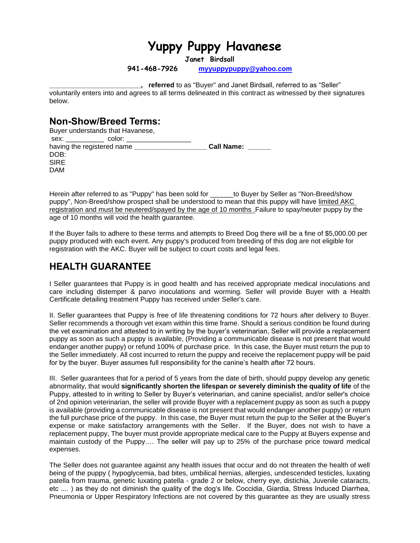# **Yuppy Puppy Havanese**

**Janet Birdsall**

**941-468-7926 [myyuppypuppy@yahoo.com](mailto:myyuppypuppy@yahoo.com)**

**\_\_\_\_\_\_\_\_\_\_\_\_\_\_\_\_\_\_\_\_\_\_\_\_, referred** to as "Buyer" and Janet Birdsall, referred to as "Seller" voluntarily enters into and agrees to all terms delineated in this contract as witnessed by their signatures below.

### **Non-Show/Breed Terms:**

|                                                                                                                                                                                                                                | Buyer understands that Havanese, |                   |
|--------------------------------------------------------------------------------------------------------------------------------------------------------------------------------------------------------------------------------|----------------------------------|-------------------|
| sex: where the set of the set of the set of the set of the set of the set of the set of the set of the set of the set of the set of the set of the set of the set of the set of the set of the set of the set of the set of th | color:                           |                   |
|                                                                                                                                                                                                                                | having the registered name       | <b>Call Name:</b> |
| DOB:                                                                                                                                                                                                                           |                                  |                   |
| <b>SIRE</b>                                                                                                                                                                                                                    |                                  |                   |
| <b>DAM</b>                                                                                                                                                                                                                     |                                  |                   |

Herein after referred to as "Puppy" has been sold for \_\_\_\_\_\_to Buyer by Seller as "Non-Breed/show puppy", Non-Breed/show prospect shall be understood to mean that this puppy will have limited AKC registration and must be neutered/spayed by the age of 10 months .Failure to spay/neuter puppy by the age of 10 months will void the health guarantee.

If the Buyer fails to adhere to these terms and attempts to Breed Dog there will be a fine of \$5,000.00 per puppy produced with each event. Any puppy's produced from breeding of this dog are not eligible for registration with the AKC. Buyer will be subject to court costs and legal fees.

## **HEALTH GUARANTEE**

I Seller guarantees that Puppy is in good health and has received appropriate medical inoculations and care including distemper & parvo inoculations and worming. Seller will provide Buyer with a Health Certificate detailing treatment Puppy has received under Seller's care.

II. Seller guarantees that Puppy is free of life threatening conditions for 72 hours after delivery to Buyer. Seller recommends a thorough vet exam within this time frame. Should a serious condition be found during the vet examination and attested to in writing by the buyer's veterinarian, Seller will provide a replacement puppy as soon as such a puppy is available, (Providing a communicable disease is not present that would endanger another puppy) or refund 100% of purchase price. In this case, the Buyer must return the pup to the Seller immediately. All cost incurred to return the puppy and receive the replacement puppy will be paid for by the buyer. Buyer assumes full responsibility for the canine's health after 72 hours.

III. Seller guarantees that for a period of 5 years from the date of birth, should puppy develop any genetic abnormality, that would **significantly shorten the lifespan or severely diminish the quality of life** of the Puppy, attested to in writing to Seller by Buyer's veterinarian, and canine specialist, and/or seller's choice of 2nd opinion veterinarian, the seller will provide Buyer with a replacement puppy as soon as such a puppy is available (providing a communicable disease is not present that would endanger another puppy) or return the full purchase price of the puppy. In this case, the Buyer must return the pup to the Seller at the Buyer's expense or make satisfactory arrangements with the Seller. If the Buyer, does not wish to have a replacement puppy, The buyer must provide appropriate medical care to the Puppy at Buyers expense and maintain custody of the Puppy.… The seller will pay up to 25% of the purchase price toward medical expenses.

The Seller does not guarantee against any health issues that occur and do not threaten the health of well being of the puppy ( hypoglycemia, bad bites, umbilical hernias, allergies, undescended testicles, luxating patella from trauma, genetic luxating patella - grade 2 or below, cherry eye, distichia, Juvenile cataracts, etc .... ) as they do not diminish the quality of the dog's life. Coccidia, Giardia, Stress Induced Diarrhea, Pneumonia or Upper Respiratory Infections are not covered by this guarantee as they are usually stress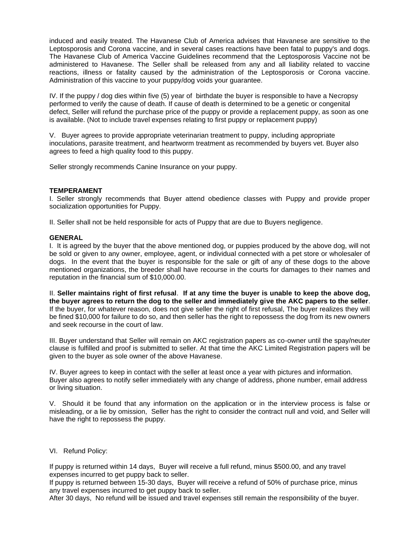induced and easily treated. The Havanese Club of America advises that Havanese are sensitive to the Leptosporosis and Corona vaccine, and in several cases reactions have been fatal to puppy's and dogs. The Havanese Club of America Vaccine Guidelines recommend that the Leptosporosis Vaccine not be administered to Havanese. The Seller shall be released from any and all liability related to vaccine reactions, illness or fatality caused by the administration of the Leptosporosis or Corona vaccine. Administration of this vaccine to your puppy/dog voids your guarantee.

IV. If the puppy / dog dies within five (5) year of birthdate the buyer is responsible to have a Necropsy performed to verify the cause of death. If cause of death is determined to be a genetic or congenital defect, Seller will refund the purchase price of the puppy or provide a replacement puppy, as soon as one is available. (Not to include travel expenses relating to first puppy or replacement puppy)

V. Buyer agrees to provide appropriate veterinarian treatment to puppy, including appropriate inoculations, parasite treatment, and heartworm treatment as recommended by buyers vet. Buyer also agrees to feed a high quality food to this puppy.

Seller strongly recommends Canine Insurance on your puppy.

#### **TEMPERAMENT**

I. Seller strongly recommends that Buyer attend obedience classes with Puppy and provide proper socialization opportunities for Puppy.

II. Seller shall not be held responsible for acts of Puppy that are due to Buyers negligence.

#### **GENERAL**

I. It is agreed by the buyer that the above mentioned dog, or puppies produced by the above dog, will not be sold or given to any owner, employee, agent, or individual connected with a pet store or wholesaler of dogs. In the event that the buyer is responsible for the sale or gift of any of these dogs to the above mentioned organizations, the breeder shall have recourse in the courts for damages to their names and reputation in the financial sum of \$10,000.00.

II. **Seller maintains right of first refusal**. **If at any time the buyer is unable to keep the above dog, the buyer agrees to return the dog to the seller and immediately give the AKC papers to the seller**. If the buyer, for whatever reason, does not give seller the right of first refusal, The buyer realizes they will be fined \$10,000 for failure to do so, and then seller has the right to repossess the dog from its new owners and seek recourse in the court of law.

III. Buyer understand that Seller will remain on AKC registration papers as co-owner until the spay/neuter clause is fulfilled and proof is submitted to seller. At that time the AKC Limited Registration papers will be given to the buyer as sole owner of the above Havanese.

IV. Buyer agrees to keep in contact with the seller at least once a year with pictures and information. Buyer also agrees to notify seller immediately with any change of address, phone number, email address or living situation.

V. Should it be found that any information on the application or in the interview process is false or misleading, or a lie by omission, Seller has the right to consider the contract null and void, and Seller will have the right to repossess the puppy.

#### VI. Refund Policy:

If puppy is returned within 14 days, Buyer will receive a full refund, minus \$500.00, and any travel expenses incurred to get puppy back to seller.

If puppy is returned between 15-30 days, Buyer will receive a refund of 50% of purchase price, minus any travel expenses incurred to get puppy back to seller.

After 30 days, No refund will be issued and travel expenses still remain the responsibility of the buyer.